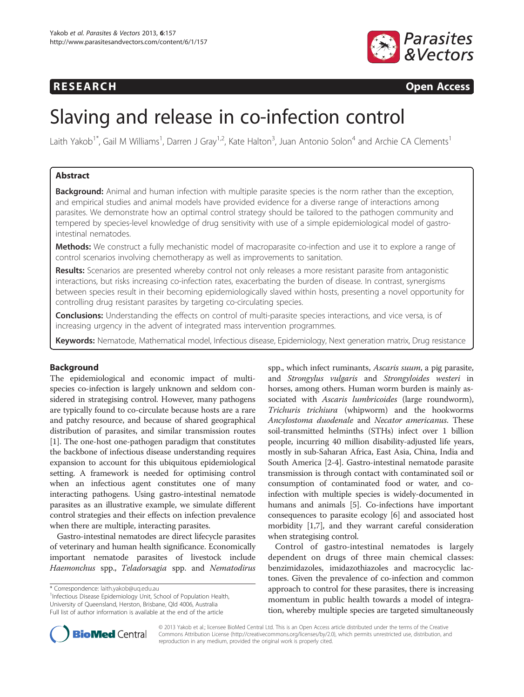# **RESEARCH RESEARCH CONSUMING ACCESS**



# Slaving and release in co-infection control

Laith Yakob<sup>1\*</sup>, Gail M Williams<sup>1</sup>, Darren J Gray<sup>1,2</sup>, Kate Halton<sup>3</sup>, Juan Antonio Solon<sup>4</sup> and Archie CA Clements<sup>1</sup>

# Abstract

Background: Animal and human infection with multiple parasite species is the norm rather than the exception, and empirical studies and animal models have provided evidence for a diverse range of interactions among parasites. We demonstrate how an optimal control strategy should be tailored to the pathogen community and tempered by species-level knowledge of drug sensitivity with use of a simple epidemiological model of gastrointestinal nematodes.

Methods: We construct a fully mechanistic model of macroparasite co-infection and use it to explore a range of control scenarios involving chemotherapy as well as improvements to sanitation.

Results: Scenarios are presented whereby control not only releases a more resistant parasite from antagonistic interactions, but risks increasing co-infection rates, exacerbating the burden of disease. In contrast, synergisms between species result in their becoming epidemiologically slaved within hosts, presenting a novel opportunity for controlling drug resistant parasites by targeting co-circulating species.

Conclusions: Understanding the effects on control of multi-parasite species interactions, and vice versa, is of increasing urgency in the advent of integrated mass intervention programmes.

Keywords: Nematode, Mathematical model, Infectious disease, Epidemiology, Next generation matrix, Drug resistance

# Background

The epidemiological and economic impact of multispecies co-infection is largely unknown and seldom considered in strategising control. However, many pathogens are typically found to co-circulate because hosts are a rare and patchy resource, and because of shared geographical distribution of parasites, and similar transmission routes [[1\]](#page-7-0). The one-host one-pathogen paradigm that constitutes the backbone of infectious disease understanding requires expansion to account for this ubiquitous epidemiological setting. A framework is needed for optimising control when an infectious agent constitutes one of many interacting pathogens. Using gastro-intestinal nematode parasites as an illustrative example, we simulate different control strategies and their effects on infection prevalence when there are multiple, interacting parasites.

Gastro-intestinal nematodes are direct lifecycle parasites of veterinary and human health significance. Economically important nematode parasites of livestock include Haemonchus spp., Teladorsagia spp. and Nematodirus

<sup>1</sup>Infectious Disease Epidemiology Unit, School of Population Health, University of Queensland, Herston, Brisbane, Qld 4006, Australia Full list of author information is available at the end of the article

spp., which infect ruminants, Ascaris suum, a pig parasite, and Strongylus vulgaris and Strongyloides westeri in horses, among others. Human worm burden is mainly associated with Ascaris lumbricoides (large roundworm), Trichuris trichiura (whipworm) and the hookworms Ancylostoma duodenale and Necator americanus. These soil-transmitted helminths (STHs) infect over 1 billion people, incurring 40 million disability-adjusted life years, mostly in sub-Saharan Africa, East Asia, China, India and South America [\[2](#page-7-0)-[4](#page-7-0)]. Gastro-intestinal nematode parasite transmission is through contact with contaminated soil or consumption of contaminated food or water, and coinfection with multiple species is widely-documented in humans and animals [[5\]](#page-7-0). Co-infections have important consequences to parasite ecology [\[6\]](#page-7-0) and associated host morbidity [\[1,7\]](#page-7-0), and they warrant careful consideration when strategising control.

Control of gastro-intestinal nematodes is largely dependent on drugs of three main chemical classes: benzimidazoles, imidazothiazoles and macrocyclic lactones. Given the prevalence of co-infection and common approach to control for these parasites, there is increasing momentum in public health towards a model of integration, whereby multiple species are targeted simultaneously



© 2013 Yakob et al.; licensee BioMed Central Ltd. This is an Open Access article distributed under the terms of the Creative Commons Attribution License [\(http://creativecommons.org/licenses/by/2.0\)](http://creativecommons.org/licenses/by/2.0), which permits unrestricted use, distribution, and reproduction in any medium, provided the original work is properly cited.

<sup>\*</sup> Correspondence: [laith.yakob@uq.edu.au](mailto:laith.yakob@uq.edu.au) <sup>1</sup>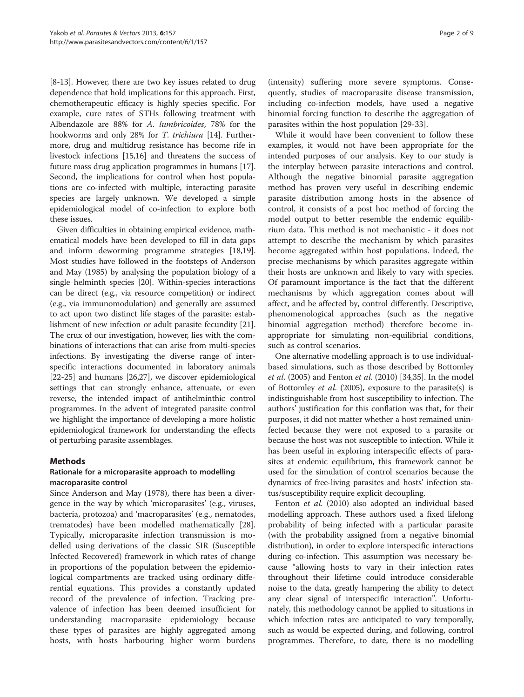[[8-13\]](#page-7-0). However, there are two key issues related to drug dependence that hold implications for this approach. First, chemotherapeutic efficacy is highly species specific. For example, cure rates of STHs following treatment with Albendazole are 88% for A. lumbricoides, 78% for the hookworms and only 28% for *T. trichiura* [\[14\]](#page-7-0). Furthermore, drug and multidrug resistance has become rife in livestock infections [\[15,16\]](#page-7-0) and threatens the success of future mass drug application programmes in humans [[17](#page-7-0)]. Second, the implications for control when host populations are co-infected with multiple, interacting parasite species are largely unknown. We developed a simple epidemiological model of co-infection to explore both these issues.

Given difficulties in obtaining empirical evidence, mathematical models have been developed to fill in data gaps and inform deworming programme strategies [\[18,19](#page-7-0)]. Most studies have followed in the footsteps of Anderson and May (1985) by analysing the population biology of a single helminth species [\[20\]](#page-8-0). Within-species interactions can be direct (e.g., via resource competition) or indirect (e.g., via immunomodulation) and generally are assumed to act upon two distinct life stages of the parasite: establishment of new infection or adult parasite fecundity [[21](#page-8-0)]. The crux of our investigation, however, lies with the combinations of interactions that can arise from multi-species infections. By investigating the diverse range of interspecific interactions documented in laboratory animals [[22](#page-8-0)-[25\]](#page-8-0) and humans [\[26,27\]](#page-8-0), we discover epidemiological settings that can strongly enhance, attenuate, or even reverse, the intended impact of antihelminthic control programmes. In the advent of integrated parasite control we highlight the importance of developing a more holistic epidemiological framework for understanding the effects of perturbing parasite assemblages.

# Methods

# Rationale for a microparasite approach to modelling macroparasite control

Since Anderson and May (1978), there has been a divergence in the way by which 'microparasites' (e.g., viruses, bacteria, protozoa) and 'macroparasites' (e.g., nematodes, trematodes) have been modelled mathematically [\[28](#page-8-0)]. Typically, microparasite infection transmission is modelled using derivations of the classic SIR (Susceptible Infected Recovered) framework in which rates of change in proportions of the population between the epidemiological compartments are tracked using ordinary differential equations. This provides a constantly updated record of the prevalence of infection. Tracking prevalence of infection has been deemed insufficient for understanding macroparasite epidemiology because these types of parasites are highly aggregated among hosts, with hosts harbouring higher worm burdens

(intensity) suffering more severe symptoms. Consequently, studies of macroparasite disease transmission, including co-infection models, have used a negative binomial forcing function to describe the aggregation of parasites within the host population [\[29](#page-8-0)-[33](#page-8-0)].

While it would have been convenient to follow these examples, it would not have been appropriate for the intended purposes of our analysis. Key to our study is the interplay between parasite interactions and control. Although the negative binomial parasite aggregation method has proven very useful in describing endemic parasite distribution among hosts in the absence of control, it consists of a post hoc method of forcing the model output to better resemble the endemic equilibrium data. This method is not mechanistic - it does not attempt to describe the mechanism by which parasites become aggregated within host populations. Indeed, the precise mechanisms by which parasites aggregate within their hosts are unknown and likely to vary with species. Of paramount importance is the fact that the different mechanisms by which aggregation comes about will affect, and be affected by, control differently. Descriptive, phenomenological approaches (such as the negative binomial aggregation method) therefore become inappropriate for simulating non-equilibrial conditions, such as control scenarios.

One alternative modelling approach is to use individualbased simulations, such as those described by Bottomley et al. (2005) and Fenton et al. (2010) [[34,35\]](#page-8-0). In the model of Bottomley et al. (2005), exposure to the parasite(s) is indistinguishable from host susceptibility to infection. The authors' justification for this conflation was that, for their purposes, it did not matter whether a host remained uninfected because they were not exposed to a parasite or because the host was not susceptible to infection. While it has been useful in exploring interspecific effects of parasites at endemic equilibrium, this framework cannot be used for the simulation of control scenarios because the dynamics of free-living parasites and hosts' infection status/susceptibility require explicit decoupling.

Fenton et al. (2010) also adopted an individual based modelling approach. These authors used a fixed lifelong probability of being infected with a particular parasite (with the probability assigned from a negative binomial distribution), in order to explore interspecific interactions during co-infection. This assumption was necessary because "allowing hosts to vary in their infection rates throughout their lifetime could introduce considerable noise to the data, greatly hampering the ability to detect any clear signal of interspecific interaction". Unfortunately, this methodology cannot be applied to situations in which infection rates are anticipated to vary temporally, such as would be expected during, and following, control programmes. Therefore, to date, there is no modelling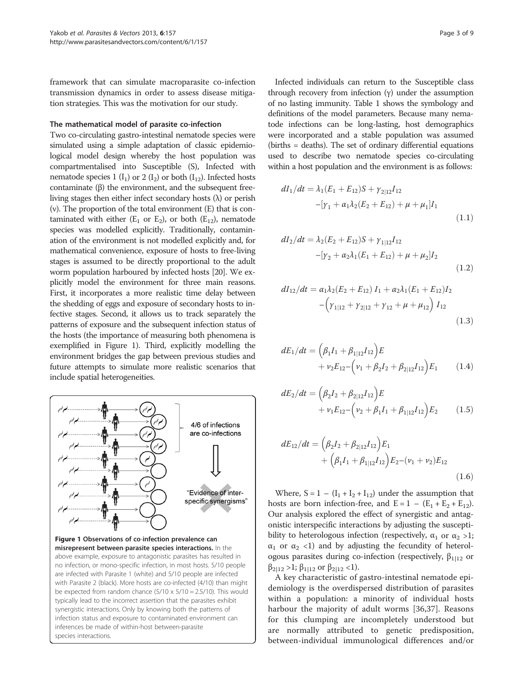<span id="page-2-0"></span>framework that can simulate macroparasite co-infection transmission dynamics in order to assess disease mitigation strategies. This was the motivation for our study.

#### The mathematical model of parasite co-infection

Two co-circulating gastro-intestinal nematode species were simulated using a simple adaptation of classic epidemiological model design whereby the host population was compartmentalised into Susceptible (S), Infected with nematode species 1  $(I_1)$  or 2  $(I_2)$  or both  $(I_{12})$ . Infected hosts contaminate (β) the environment, and the subsequent freeliving stages then either infect secondary hosts (λ) or perish (ν). The proportion of the total environment (E) that is contaminated with either  $(E_1 \text{ or } E_2)$ , or both  $(E_{12})$ , nematode species was modelled explicitly. Traditionally, contamination of the environment is not modelled explicitly and, for mathematical convenience, exposure of hosts to free-living stages is assumed to be directly proportional to the adult worm population harboured by infected hosts [\[20](#page-8-0)]. We explicitly model the environment for three main reasons. First, it incorporates a more realistic time delay between the shedding of eggs and exposure of secondary hosts to infective stages. Second, it allows us to track separately the patterns of exposure and the subsequent infection status of the hosts (the importance of measuring both phenomena is exemplified in Figure 1). Third, explicitly modelling the environment bridges the gap between previous studies and future attempts to simulate more realistic scenarios that include spatial heterogeneities.



species interactions.

Infected individuals can return to the Susceptible class through recovery from infection (γ) under the assumption of no lasting immunity. Table [1](#page-3-0) shows the symbology and definitions of the model parameters. Because many nematode infections can be long-lasting, host demographics were incorporated and a stable population was assumed (births = deaths). The set of ordinary differential equations used to describe two nematode species co-circulating within a host population and the environment is as follows:

$$
dI_1/dt = \lambda_1 (E_1 + E_{12})S + \gamma_{2|12}I_{12}
$$
  
 
$$
-[\gamma_1 + \alpha_1 \lambda_2 (E_2 + E_{12}) + \mu + \mu_1]I_1
$$
  
(1.1)

$$
dI_2/dt = \lambda_2 (E_2 + E_{12})S + \gamma_{1|12} I_{12}
$$
  
 
$$
-[\gamma_2 + \alpha_2 \lambda_1 (E_1 + E_{12}) + \mu + \mu_2] I_2
$$
  
(1.2)

$$
dI_{12}/dt = \alpha_1 \lambda_2 (E_2 + E_{12}) I_1 + \alpha_2 \lambda_1 (E_1 + E_{12}) I_2
$$

$$
- \left( \gamma_{1|12} + \gamma_{2|12} + \gamma_{12} + \mu + \mu_{12} \right) I_{12}
$$
(1.3)

$$
dE_1/dt = \left(\beta_1 I_1 + \beta_{1|12} I_{12}\right) E + \nu_2 E_{12} - \left(\nu_1 + \beta_2 I_2 + \beta_{2|12} I_{12}\right) E_1
$$
 (1.4)

$$
dE_2/dt = \left(\beta_2 I_2 + \beta_{2|12} I_{12}\right) E + \nu_1 E_{12} - \left(\nu_2 + \beta_1 I_1 + \beta_{1|12} I_{12}\right) E_2
$$
 (1.5)

$$
dE_{12}/dt = \left(\beta_2 I_2 + \beta_{2|12} I_{12}\right) E_1 + \left(\beta_1 I_1 + \beta_{1|12} I_{12}\right) E_2 - \left(\nu_1 + \nu_2\right) E_{12}
$$
\n(1.6)

Where,  $S = 1 - (I_1 + I_2 + I_{12})$  under the assumption that hosts are born infection-free, and  $E = 1 - (E_1 + E_2 + E_{12})$ . Our analysis explored the effect of synergistic and antagonistic interspecific interactions by adjusting the susceptibility to heterologous infection (respectively,  $\alpha_1$  or  $\alpha_2 > 1$ ;  $\alpha_1$  or  $\alpha_2$  <1) and by adjusting the fecundity of heterologous parasites during co-infection (respectively,  $\beta_{1|12}$  or  $\beta_{2|12} > 1$ ;  $\beta_{1|12}$  or  $\beta_{2|12} < 1$ ).

A key characteristic of gastro-intestinal nematode epidemiology is the overdispersed distribution of parasites within a population: a minority of individual hosts harbour the majority of adult worms [[36,37](#page-8-0)]. Reasons for this clumping are incompletely understood but are normally attributed to genetic predisposition, between-individual immunological differences and/or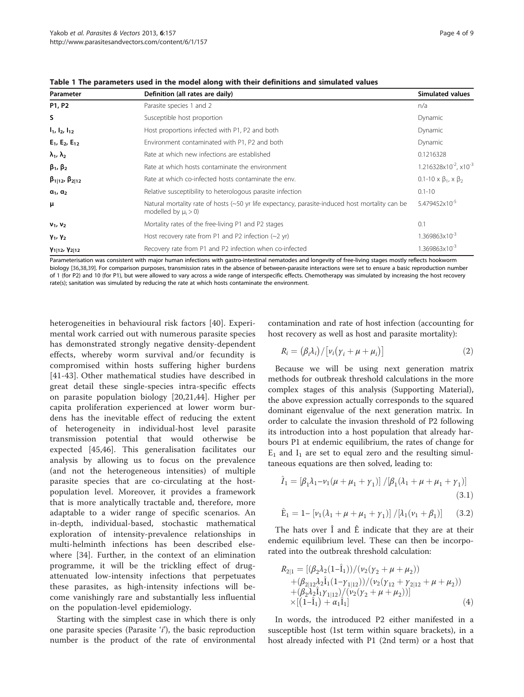| Parameter                                 | Definition (all rates are daily)                                                                                                   | Simulated values                             |
|-------------------------------------------|------------------------------------------------------------------------------------------------------------------------------------|----------------------------------------------|
| P1, P2                                    | Parasite species 1 and 2                                                                                                           | n/a                                          |
| S                                         | Susceptible host proportion                                                                                                        | Dynamic                                      |
| $I_1$ , $I_2$ , $I_{12}$                  | Host proportions infected with P1, P2 and both                                                                                     | Dynamic                                      |
| $E_1$ , $E_2$ , $E_{12}$                  | Environment contaminated with P1, P2 and both                                                                                      | Dynamic                                      |
| $\lambda_1, \lambda_2$                    | Rate at which new infections are established                                                                                       | 0.1216328                                    |
| $\beta_1$ , $\beta_2$                     | Rate at which hosts contaminate the environment                                                                                    | $1.216328 \times 10^{-2}$ , $\times 10^{-3}$ |
| $\beta_{1 12}$ , $\beta_{2 12}$           | Rate at which co-infected hosts contaminate the env.                                                                               | 0.1-10 x $β_1$ , x $β_2$                     |
| $\alpha_1$ , $\alpha_2$                   | Relative susceptibility to heterologous parasite infection                                                                         | $0.1 - 10$                                   |
| μ                                         | Natural mortality rate of hosts $(\sim 50$ yr life expectancy, parasite-induced host mortality can be<br>modelled by $\mu_i > 0$ ) | 5.479452x10 <sup>-5</sup>                    |
| $V_1, V_2$                                | Mortality rates of the free-living P1 and P2 stages                                                                                | 0.1                                          |
| $Y_1$ , $Y_2$                             | Host recovery rate from P1 and P2 infection $(\sim 2 \text{ yr})$                                                                  | 1.369863x10 <sup>-3</sup>                    |
| $Y_1$ <sub>12</sub> , $Y_2$ <sub>12</sub> | Recovery rate from P1 and P2 infection when co-infected                                                                            | 1.369863x10 <sup>-3</sup>                    |

<span id="page-3-0"></span>Table 1 The parameters used in the model along with their definitions and simulated values

Parameterisation was consistent with major human infections with gastro-intestinal nematodes and longevity of free-living stages mostly reflects hookworm biology [[36,38](#page-8-0),[39\]](#page-8-0). For comparison purposes, transmission rates in the absence of between-parasite interactions were set to ensure a basic reproduction number of 1 (for P2) and 10 (for P1), but were allowed to vary across a wide range of interspecific effects. Chemotherapy was simulated by increasing the host recovery rate(s); sanitation was simulated by reducing the rate at which hosts contaminate the environment.

heterogeneities in behavioural risk factors [[40](#page-8-0)]. Experimental work carried out with numerous parasite species has demonstrated strongly negative density-dependent effects, whereby worm survival and/or fecundity is compromised within hosts suffering higher burdens [[41-43\]](#page-8-0). Other mathematical studies have described in great detail these single-species intra-specific effects on parasite population biology [\[20](#page-8-0),[21,44\]](#page-8-0). Higher per capita proliferation experienced at lower worm burdens has the inevitable effect of reducing the extent of heterogeneity in individual-host level parasite transmission potential that would otherwise be expected [[45,46](#page-8-0)]. This generalisation facilitates our analysis by allowing us to focus on the prevalence (and not the heterogeneous intensities) of multiple parasite species that are co-circulating at the hostpopulation level. Moreover, it provides a framework that is more analytically tractable and, therefore, more adaptable to a wider range of specific scenarios. An in-depth, individual-based, stochastic mathematical exploration of intensity-prevalence relationships in multi-helminth infections has been described elsewhere [[34\]](#page-8-0). Further, in the context of an elimination programme, it will be the trickling effect of drugattenuated low-intensity infections that perpetuates these parasites, as high-intensity infections will become vanishingly rare and substantially less influential on the population-level epidemiology.

Starting with the simplest case in which there is only one parasite species (Parasite  $i'$ ), the basic reproduction number is the product of the rate of environmental

contamination and rate of host infection (accounting for host recovery as well as host and parasite mortality):

$$
R_i = (\beta_i \lambda_i) / [\nu_i (\gamma_i + \mu + \mu_i)] \tag{2}
$$

Because we will be using next generation matrix methods for outbreak threshold calculations in the more complex stages of this analysis (Supporting Material), the above expression actually corresponds to the squared dominant eigenvalue of the next generation matrix. In order to calculate the invasion threshold of P2 following its introduction into a host population that already harbours P1 at endemic equilibrium, the rates of change for  $E_1$  and  $I_1$  are set to equal zero and the resulting simultaneous equations are then solved, leading to:

$$
\hat{I}_1 = [\beta_1 \lambda_1 - \nu_1(\mu + \mu_1 + \gamma_1)] / [\beta_1(\lambda_1 + \mu + \mu_1 + \gamma_1)]
$$
\n(3.1)

$$
\hat{E}_1 = 1 - \left[ \nu_1 (\lambda_1 + \mu + \mu_1 + \gamma_1) \right] / [\lambda_1 (\nu_1 + \beta_1)] \tag{3.2}
$$

The hats over Î and Ê indicate that they are at their endemic equilibrium level. These can then be incorporated into the outbreak threshold calculation:

$$
R_{2|1} = \left[ (\beta_2 \lambda_2 (1 - \hat{1}_1)) / (\nu_2 (\gamma_2 + \mu + \mu_2)) \right. \\ \left. + (\beta_{2|12} \lambda_2 \hat{1}_1 (1 - \gamma_{1|12})) / (\nu_2 (\gamma_{12} + \gamma_{2|12} + \mu + \mu_2)) \right. \\ \left. + (\beta_2 \lambda_2 \hat{1}_1 \gamma_{1|12}) / (\nu_2 (\gamma_2 + \mu + \mu_2)) \right] \\ \times \left[ (1 - \hat{1}_1) + \alpha_1 \hat{1}_1 \right] \tag{4}
$$

In words, the introduced P2 either manifested in a susceptible host (1st term within square brackets), in a host already infected with P1 (2nd term) or a host that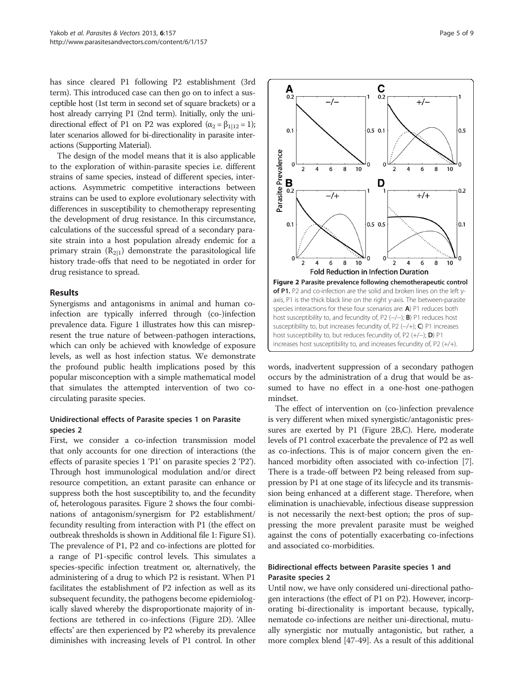has since cleared P1 following P2 establishment (3rd term). This introduced case can then go on to infect a susceptible host (1st term in second set of square brackets) or a host already carrying P1 (2nd term). Initially, only the unidirectional effect of P1 on P2 was explored ( $\alpha_2 = \beta_{112} = 1$ ); later scenarios allowed for bi-directionality in parasite interactions (Supporting Material).

The design of the model means that it is also applicable to the exploration of within-parasite species i.e. different strains of same species, instead of different species, interactions. Asymmetric competitive interactions between strains can be used to explore evolutionary selectivity with differences in susceptibility to chemotherapy representing the development of drug resistance. In this circumstance, calculations of the successful spread of a secondary parasite strain into a host population already endemic for a primary strain  $(R_{211})$  demonstrate the parasitological life history trade-offs that need to be negotiated in order for drug resistance to spread.

#### Results

Synergisms and antagonisms in animal and human coinfection are typically inferred through (co-)infection prevalence data. Figure [1](#page-2-0) illustrates how this can misrepresent the true nature of between-pathogen interactions, which can only be achieved with knowledge of exposure levels, as well as host infection status. We demonstrate the profound public health implications posed by this popular misconception with a simple mathematical model that simulates the attempted intervention of two cocirculating parasite species.

# Unidirectional effects of Parasite species 1 on Parasite species 2

First, we consider a co-infection transmission model that only accounts for one direction of interactions (the effects of parasite species 1 'P1' on parasite species 2 'P2'). Through host immunological modulation and/or direct resource competition, an extant parasite can enhance or suppress both the host susceptibility to, and the fecundity of, heterologous parasites. Figure 2 shows the four combinations of antagonism/synergism for P2 establishment/ fecundity resulting from interaction with P1 (the effect on outbreak thresholds is shown in Additional file [1:](#page-7-0) Figure S1). The prevalence of P1, P2 and co-infections are plotted for a range of P1-specific control levels. This simulates a species-specific infection treatment or, alternatively, the administering of a drug to which P2 is resistant. When P1 facilitates the establishment of P2 infection as well as its subsequent fecundity, the pathogens become epidemiologically slaved whereby the disproportionate majority of infections are tethered in co-infections (Figure 2D). 'Allee effects' are then experienced by P2 whereby its prevalence diminishes with increasing levels of P1 control. In other



words, inadvertent suppression of a secondary pathogen occurs by the administration of a drug that would be assumed to have no effect in a one-host one-pathogen mindset.

The effect of intervention on (co-)infection prevalence is very different when mixed synergistic/antagonistic pressures are exerted by P1 (Figure 2B,C). Here, moderate levels of P1 control exacerbate the prevalence of P2 as well as co-infections. This is of major concern given the en-hanced morbidity often associated with co-infection [[7](#page-7-0)]. There is a trade-off between P2 being released from suppression by P1 at one stage of its lifecycle and its transmission being enhanced at a different stage. Therefore, when elimination is unachievable, infectious disease suppression is not necessarily the next-best option; the pros of suppressing the more prevalent parasite must be weighed against the cons of potentially exacerbating co-infections and associated co-morbidities.

# Bidirectional effects between Parasite species 1 and Parasite species 2

Until now, we have only considered uni-directional pathogen interactions (the effect of P1 on P2). However, incorporating bi-directionality is important because, typically, nematode co-infections are neither uni-directional, mutually synergistic nor mutually antagonistic, but rather, a more complex blend [[47-49\]](#page-8-0). As a result of this additional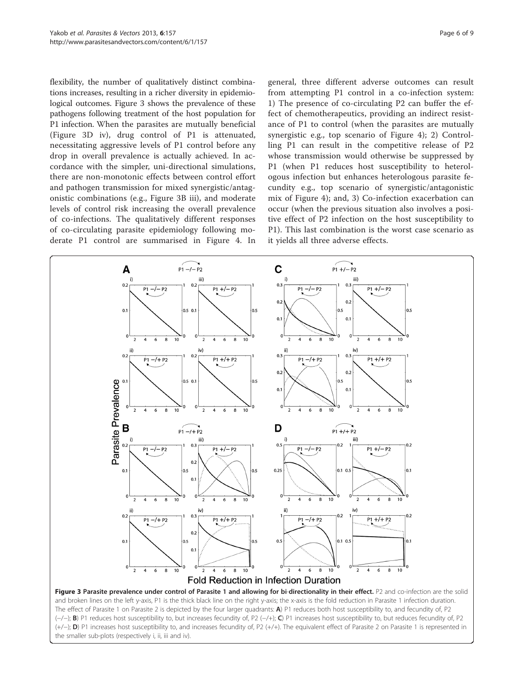<span id="page-5-0"></span>flexibility, the number of qualitatively distinct combinations increases, resulting in a richer diversity in epidemiological outcomes. Figure 3 shows the prevalence of these pathogens following treatment of the host population for P1 infection. When the parasites are mutually beneficial (Figure 3D iv), drug control of P1 is attenuated, necessitating aggressive levels of P1 control before any drop in overall prevalence is actually achieved. In accordance with the simpler, uni-directional simulations, there are non-monotonic effects between control effort and pathogen transmission for mixed synergistic/antagonistic combinations (e.g., Figure 3B iii), and moderate levels of control risk increasing the overall prevalence of co-infections. The qualitatively different responses of co-circulating parasite epidemiology following moderate P1 control are summarised in Figure [4.](#page-6-0) In

general, three different adverse outcomes can result from attempting P1 control in a co-infection system: 1) The presence of co-circulating P2 can buffer the effect of chemotherapeutics, providing an indirect resistance of P1 to control (when the parasites are mutually synergistic e.g., top scenario of Figure [4\)](#page-6-0); 2) Controlling P1 can result in the competitive release of P2 whose transmission would otherwise be suppressed by P1 (when P1 reduces host susceptibility to heterologous infection but enhances heterologous parasite fecundity e.g., top scenario of synergistic/antagonistic mix of Figure [4](#page-6-0)); and, 3) Co-infection exacerbation can occur (when the previous situation also involves a positive effect of P2 infection on the host susceptibility to P1). This last combination is the worst case scenario as it yields all three adverse effects.



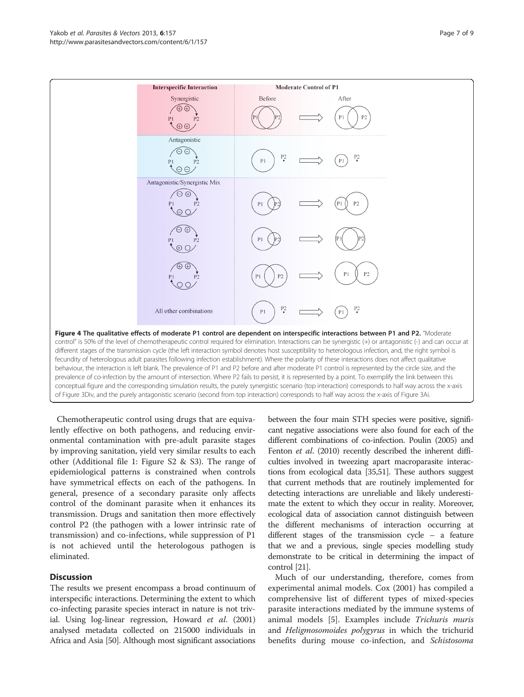<span id="page-6-0"></span>

Chemotherapeutic control using drugs that are equivalently effective on both pathogens, and reducing environmental contamination with pre-adult parasite stages by improving sanitation, yield very similar results to each other (Additional file [1](#page-7-0): Figure S2 & S3). The range of epidemiological patterns is constrained when controls have symmetrical effects on each of the pathogens. In general, presence of a secondary parasite only affects control of the dominant parasite when it enhances its transmission. Drugs and sanitation then more effectively control P2 (the pathogen with a lower intrinsic rate of transmission) and co-infections, while suppression of P1 is not achieved until the heterologous pathogen is eliminated.

# **Discussion**

The results we present encompass a broad continuum of interspecific interactions. Determining the extent to which co-infecting parasite species interact in nature is not trivial. Using log-linear regression, Howard et al. (2001) analysed metadata collected on 215000 individuals in Africa and Asia [\[50](#page-8-0)]. Although most significant associations

between the four main STH species were positive, significant negative associations were also found for each of the different combinations of co-infection. Poulin (2005) and Fenton et al. (2010) recently described the inherent difficulties involved in tweezing apart macroparasite interactions from ecological data [\[35,51](#page-8-0)]. These authors suggest that current methods that are routinely implemented for detecting interactions are unreliable and likely underestimate the extent to which they occur in reality. Moreover, ecological data of association cannot distinguish between the different mechanisms of interaction occurring at different stages of the transmission cycle – a feature that we and a previous, single species modelling study demonstrate to be critical in determining the impact of control [[21](#page-8-0)].

Much of our understanding, therefore, comes from experimental animal models. Cox (2001) has compiled a comprehensive list of different types of mixed-species parasite interactions mediated by the immune systems of animal models [\[5](#page-7-0)]. Examples include Trichuris muris and Heligmosomoides polygyrus in which the trichurid benefits during mouse co-infection, and Schistosoma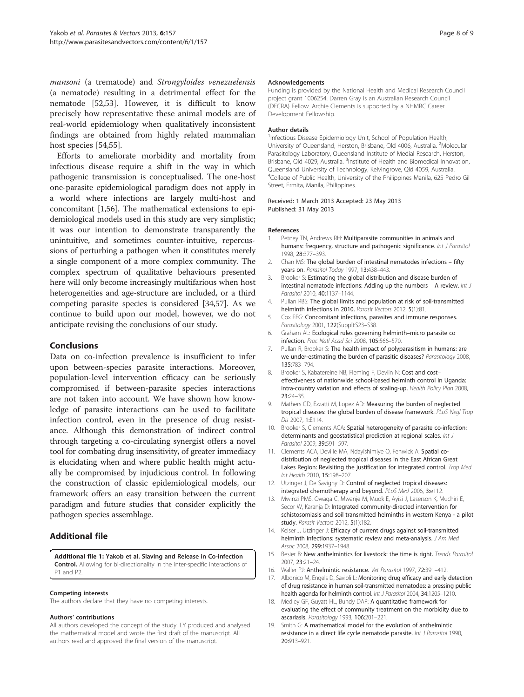<span id="page-7-0"></span>mansoni (a trematode) and Strongyloides venezuelensis (a nematode) resulting in a detrimental effect for the nematode [\[52,53](#page-8-0)]. However, it is difficult to know precisely how representative these animal models are of real-world epidemiology when qualitatively inconsistent findings are obtained from highly related mammalian host species [[54,55\]](#page-8-0).

Efforts to ameliorate morbidity and mortality from infectious disease require a shift in the way in which pathogenic transmission is conceptualised. The one-host one-parasite epidemiological paradigm does not apply in a world where infections are largely multi-host and concomitant [1[,56\]](#page-8-0). The mathematical extensions to epidemiological models used in this study are very simplistic; it was our intention to demonstrate transparently the unintuitive, and sometimes counter-intuitive, repercussions of perturbing a pathogen when it constitutes merely a single component of a more complex community. The complex spectrum of qualitative behaviours presented here will only become increasingly multifarious when host heterogeneities and age-structure are included, or a third competing parasite species is considered [\[34,57\]](#page-8-0). As we continue to build upon our model, however, we do not anticipate revising the conclusions of our study.

#### Conclusions

Data on co-infection prevalence is insufficient to infer upon between-species parasite interactions. Moreover, population-level intervention efficacy can be seriously compromised if between-parasite species interactions are not taken into account. We have shown how knowledge of parasite interactions can be used to facilitate infection control, even in the presence of drug resistance. Although this demonstration of indirect control through targeting a co-circulating synergist offers a novel tool for combating drug insensitivity, of greater immediacy is elucidating when and where public health might actually be compromised by injudicious control. In following the construction of classic epidemiological models, our framework offers an easy transition between the current paradigm and future studies that consider explicitly the pathogen species assemblage.

# Additional file

[Additional file 1:](http://www.biomedcentral.com/content/supplementary/1756-3305-6-157-S1.doc) Yakob et al. Slaving and Release in Co-infection Control. Allowing for bi-directionality in the inter-specific interactions of P1 and P2.

#### Competing interests

The authors declare that they have no competing interests.

#### Authors' contributions

All authors developed the concept of the study. LY produced and analysed the mathematical model and wrote the first draft of the manuscript. All authors read and approved the final version of the manuscript.

#### Acknowledgements

Funding is provided by the National Health and Medical Research Council project grant 1006254. Darren Gray is an Australian Research Council (DECRA) Fellow. Archie Clements is supported by a NHMRC Career Development Fellowship.

#### Author details

<sup>1</sup>Infectious Disease Epidemiology Unit, School of Population Health University of Queensland, Herston, Brisbane, Qld 4006, Australia. <sup>2</sup>Molecular Parasitology Laboratory, Queensland Institute of Medial Research, Herston, Brisbane, Qld 4029, Australia. <sup>3</sup>Institute of Health and Biomedical Innovation, Queensland University of Technology, Kelvingrove, Qld 4059, Australia. <sup>4</sup>College of Public Health, University of the Philippines Manila, 625 Pedro Gi Street, Ermita, Manila, Philippines.

#### Received: 1 March 2013 Accepted: 23 May 2013 Published: 31 May 2013

#### References

- 1. Petney TN, Andrews RH: Multiparasite communities in animals and humans: frequency, structure and pathogenic significance. Int J Parasitol 1998, 28:377–393.
- 2. Chan MS: The global burden of intestinal nematodes infections fifty years on. Parasitol Today 1997, 13:438–443.
- 3. Brooker S: Estimating the global distribution and disease burden of intestinal nematode infections: Adding up the numbers – A review. Int J Parasitol 2010, 40:1137–1144.
- 4. Pullan RBS: The global limits and population at risk of soil-transmitted helminth infections in 2010. Parasit Vectors 2012, 5(1):81.
- 5. Cox FEG: Concomitant infections, parasites and immune responses. Parasitology 2001, 122(Suppl):S23–S38.
- 6. Graham AL: Ecological rules governing helminth–micro parasite co infection. Proc Natl Acad Sci 2008, 105:566–570.
- 7. Pullan R, Brooker S: The health impact of polyparasitism in humans: are we under-estimating the burden of parasitic diseases? Parasitology 2008, 135:783–794.
- 8. Brooker S, Kabatereine NB, Fleming F, Devlin N: Cost and costeffectiveness of nationwide school-based helminth control in Uganda: intra-country variation and effects of scaling-up. Health Policy Plan 2008,  $23.24 - 35$
- Mathers CD, Ezzatti M, Lopez AD: Measuring the burden of neglected tropical diseases: the global burden of disease framework. PLoS Negl Trop Dis 2007, 1:E114.
- 10. Brooker S, Clements ACA: Spatial heterogeneity of parasite co-infection: determinants and geostatistical prediction at regional scales. Int J Parasitol 2009, 39:591–597.
- 11. Clements ACA, Deville MA, Ndayishimiye O, Fenwick A: Spatial codistribution of neglected tropical diseases in the East African Great Lakes Region: Revisiting the justification for integrated control. Trop Med Int Health 2010, 15:198–207.
- 12. Utzinger J, De Savigny D: Control of neglected tropical diseases: integrated chemotherapy and beyond. PLoS Med 2006, 3:e112.
- 13. Mwinzi PMS, Owaga C, Mwanje M, Muok E, Ayisi J, Laserson K, Muchiri E, Secor W, Karanja D: Integrated community-directed intervention for schistosomiasis and soil transmitted helminths in western Kenya - a pilot study. Parasit Vectors 2012, 5(1):182.
- 14. Keiser J, Utzinger J: Efficacy of current drugs against soil-transmitted helminth infections: systematic review and meta-analysis. J Am Med Assoc 2008, 299:1937–1948.
- 15. Besier B: New anthelmintics for livestock: the time is right. Trends Parasitol 2007, 23:21–24.
- 16. Waller PJ: Anthelmintic resistance. Vet Parasitol 1997, 72:391–412.
- 17. Albonico M, Engels D, Savioli L: Monitoring drug efficacy and early detection of drug resistance in human soil-transmitted nematodes: a pressing public health agenda for helminth control. Int J Parasitol 2004, 34:1205–1210.
- 18. Medley GF, Guyatt HL, Bundy DAP: A quantitative framework for evaluating the effect of community treatment on the morbidity due to ascariasis. Parasitology 1993, 106:201–221.
- 19. Smith G: A mathematical model for the evolution of anthelmintic resistance in a direct life cycle nematode parasite. Int J Parasitol 1990, 20:913–921.